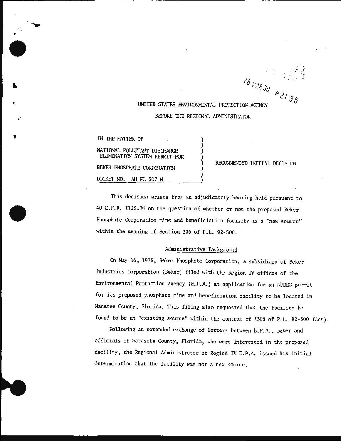*p ·*  c: Js

# UNITED STATES ENVIRONMENTAL PROTECTION AGENCY BEFORE 1HE REGICNAL ADMINISTRATOR

)

)

)

IN THE MATTER OF

•

•

.·

'

•

NATIONAL POLLUTANT DISCHARGE ELIMINATION SYSTEM PERMIT FOR BEKER PHOSPHATE CORPORATION

DOCKET NO. AH FL 507 N

RECOMMENDED INITIAL DECISION

This decision arises from an adjudicatory hearing held pursuant to 40 C.F.R. §125 . 36 on the question of whether or not the proposed Beker Phosphate Corporation mine and beneficiation facility is a "new source" within the meaning of Section 306 of P.L. 92-500.

# Administrative Background

On May 16, 1975 , Beker Phosphate Corporation, a subsidiary of Beker Industries Corporation (Beker) filed with the Region IV offices of the Environmental Protection Agency (E. P. A. ) an application for an NPDES permit for its proposed phosphate mine and beneficiation facility to be located in Manatee County, Florida. This filing also requested that the facility be found to be an "existing source" within the context of § 306 of P.L. 92-500 (Act).

Following an extended exchange of letters between E.P.A., Beker and officials of Sarasota County, Florida, who were interested in the proposed facility, the Regional Administrator of Region IV E.P.A. issued his initial determination that the facility was not a new source.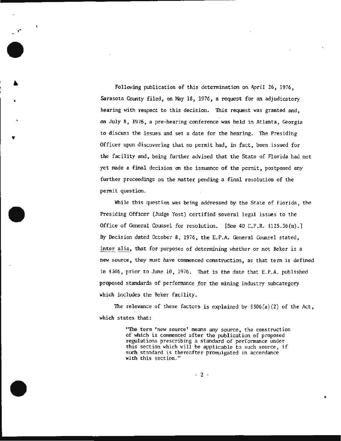Following publication of this determination on April 26, 1976, Sarasota County filed, on May 18, 1976, a request for an adjudicatory hearing with respect to this decision. This request was granted and, on July 8, 1976, a pre-hearing conference was held *in* Atlanta, Georgia to discuss the issues and set a date for the hearing. The Presiding Officer upon discovering that no permit had, in fact, been issued for the facility and, being further advised that the State of Florida had not yet made a final decision on the issuance of the permit , postponed any further proceedings on the matter pending a final resolution of the permit question.

While this question was being addressed by the State of Florida , the Presiding Officer (Judge Yost) certified several legal issues to the Office of General Counsel for resolution. [See 40 C.F.R. §125.36(m).] By Decision dated October 8, 1976, the E.P.A. General Counsel stated, inter alia, that for purposes of determining whether or not Beker is a new source , they must have commenced construction , as that term is defined in §306, prior to June 10, 1976. That is the date that E.P.A. published proposed standards of performance for the mining industry subcategory which includes the Beker facility.

The relevance of these factors is explained by  $$306(a)(2)$  of the Act, which states that:

> "The term 'new source' means any source, the construction of which is commenced after the publication of proposed regulations prescribing a standard of performance under this section which will be applicable to such source, if such standard is thereafter promulgated in accordance with this section."

> > - 2 -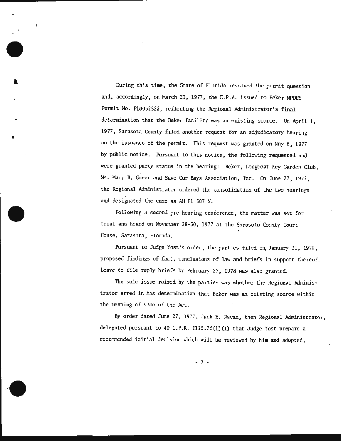During this time, the State of Florida resolved the permit question and, accordingly, on March 21, 1977, the E.P.A. issued to Beker NPDES Permit No. FL0032522, reflecting the Regional Administrator's final determination that the Beker facility was an existing source. On April 1, 1977, Sarasota County filed another request for an adjudicatory hearing on the issuance of the permit. This request was granted on May 8, 1977 by public notice. Pursuant to this notice, the following requested and were granted party status in the hearing: Beker, Longboat Key Garden Club, MS. Mary B. Greer and Save Our Bays Association, Inc. On June 27, 1977, the Regional Administrator ordered the consolidation of the two hearings and designated the case as AH FL 507 N.

Following a second pre-hearing conference, the matter was set for trial and heard on November 28-30 , 1977 at the Sarasota County Court House, Sarasota, Florida.

Pursuant to Judge Yost's order, the parties filed on January 31, 1978, proposed findings of fact, conclusions of law and briefs in support thereof. Leave to file reply briefs by February 27 , 1978 was also granted.

The sole issue raised by the parties was whether the Regional Administrator erred in his determination that Beker was an existing source within the meaning of §306 of the Act.

*By* order dated June 27 , 1977, Jack E. Ravan, then Regional Administrator, delegated pursuant to 40 C.F.R. §125. 36(1)(1) that Judge Yost prepare a recommended initial decision which will be reviewed by him and adopted,

- 3 -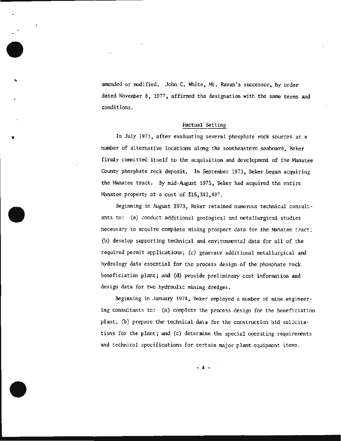amended or modified. John C. White, Mr. Ravan's successor, by order dated November 8, 1977, affirmed the designation with the same terms and conditions.

## Factual Setting

In July 1973, after evaluating several phosphate rock sources at a number of alternative locations along the southeastern seaboard, Beker firnUy committed itself to the acquisition and development of the Manatee County phosphate rock deposit. In September 1973, Beker began acquiring the Manatee tract. By mid-August 1975, Beker had acquired the entire Manatee property at a cost of \$15,342,407.

Beginning in August 1973, Beker retained numerous technical consultants to: (a) conduct additional geological and metallurgical studies necessary to acquire complete mining prospect data for the Manatee tract; (b) develop supporting technical and environmental data for all of the required permit applications; (c) generate additional metallurgical and hydrology data essential for the process design of the phosphate rock beneficiation plant; and (d) provide preliminary cost information and design data for two hydraulic mining dredges.

Beginning in January 1974, Beker employed a number of *mine* engineering consultants to: (a) complete the process design for the beneficiation plant; (b) prepare the technical data for the construction bid solicitations for the plant; and (c) determine the special operating requirements and tcclmical specifications for certain major plant equipment items.

 $-4$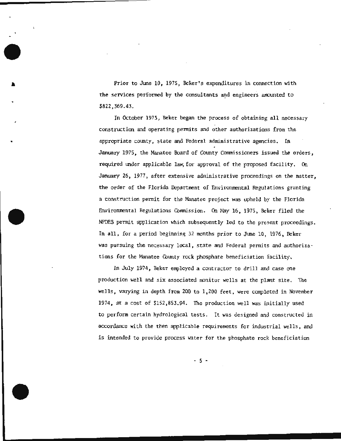Prior to June 10, 1975, Beker's expenditures in connection with the services performed by the consultants and engineers amounted to \$822,369.43.

In October 1973, Beker began the process of obtaining all necessary construction and operating permits and other authorizations from the appropriate county, state and Federal administrative agencies. In January 1975, the Manatee Board of County Commissioners issued the orders, requir ed under applicable law, for approval of the proposed facility. On January 26, 1977, after extensive administrative proceedings on the matter, the order of the Florida Department of Environmental Regulations granting a construction permit for the Manatee project was upheld by the Florida Environmental Regulations Commission. On May 16, 1975, Beker filed the NPDES permit application which subsequently led to the present proceedings. In all, for a period beginning 32 months prior to June 10, 1976, Beker was pursuing the necessary local , state and Federal permits and authorizations for the Manatee County rock phosphate beneficiation facility.

In July 1974, Beker employed a contractor to drill and case one production well and six associated monitor wells at the plant site. The wells, varying in depth from 200 to 1, 200 feet , were completed in November 1974 , at a cost of \$152 , 853.94 . The production well was initially used to perform certain hydrological tests. It was designed and constructed in accordance with the then applicable requirements for industrial wells, and is intended to provide process water for the phosphate rock beneficiation

 $-5 -$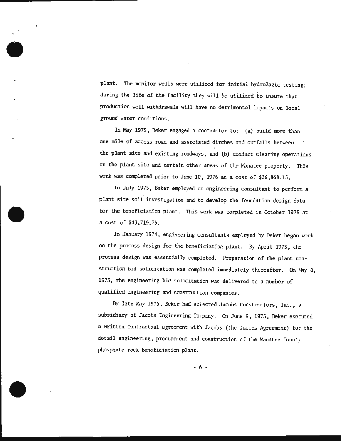plant. The monitor wells were utilized for initial hydrologic testing; during the life of the facility they will be utilized to insure that production well withdrawals will have no detrimental impacts on local ground water conditions.

In May 1975, Beker engaged a contractor to: (a) build more than one mile of access road and associated ditches and outfalls between the plant site and existing roadways, and (b) conduct clearing operations on the plant site and certain other areas of the Manatee property. This work was completed prior to June 10, 1976 at a cost of \$26,868.13.

In July 1975, Beker employed an engineering consultant to perform a plant site soil investigation and to develop the foundation design data for the beneficiation plant. This work was completed in October 1975 at a cost of \$43,719.75.

In January 1974, engineering consultants employed by Beker began work on the process design for the beneficiation plant. By April 1975 , the process design was essentially completed. Preparation of the plant construction bid solicitation was completed immediately thereafter. On May 8, 1975, the engineering bid solicitation was delivered to a number of qualified engineering and construction companies.

By late May 1975, Beker had selected Jacobs Constructors, Inc., a subsidiary of Jacobs Engineering Company. On June 9, 1975, Beker executed a written contractual agreement with Jacobs (the Jacobs Agreement) for the detail engineering, procurement and construction of the Manatee County phosphate rock beneficiation p1ant.

 $-6 -$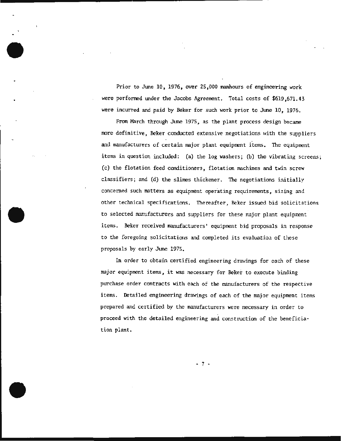Prior to June 10, 1976, over 25,000 manhours of engineering work were performed under the Jacobs Agreement. Total costs of \$619,671.43 were incurred and paid by Beker for such work prior to June 10, 1976.

From March through June 1975, as the plant process design became more definitive, Beker conducted extensive negotiations with the suppliers and manufacturers of certain major plant equipment items. The equipment items in question included: (a) the log washers; (b) the vibrating screens; (c) the flotation feed conditioners, flotation machines and twin screw classifiers; and (d) the slimes thickener. The negotiations initially concerned such matters as equipment operating requirements, sizing and other technical specifications. Thereafter, Beker issued bid solicitations to selected manufacturers and suppliers for these major plaqt equipment items. Beker received manufacturers' equipment bid proposals in response to the foregoing solicitations and completed its evaluatioa of these proposals by early Jtme 1975.

In order to obtain certified engineering drawings for each of these major equipment items, it was necessary for Beker to execute binding purchase order contracts with each of the manufacturers of the respective items. Detailed engineering drawings of each of the major equipment items prepared and certified by the manufacturers were necessary in order to proceed with the detailed engineering and construction of the beneficiation plant.

- 7 -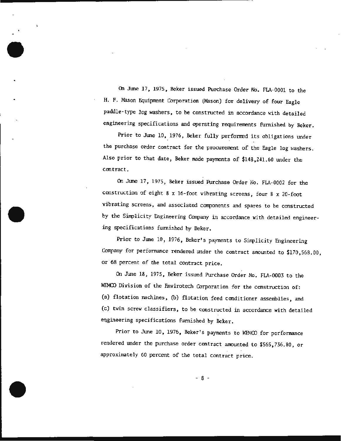On June 17, 1975, Beker issued Purchase Order No . FLA-0001 to the H. F. Mason Equipment Corporation (Mason) for delivery of four Eagle paddle-type log washers, to be constructed in accordance with detailed engineering specifications and operating requirements furnished by Beker.

Prior to June 10, 1976, Beker fully performed its obligations under the purchase order contract for the procurement of the Eagle log washers. Also prior to that date, Beker made payments of \$148,241.60 under the contract.

On June 17, 1975, Beker issued Purchase Order No. FLA-0002 for the construction of eight 8 x 16-foot vibrating screens, four 8 x 20-foot vibrating screens, and associated components and spares to be constructed by the Simplicity Engineering Company in accordance with detailed engineering specifications furnished by Beker.

Prior to June 10, 1976, Beker's payments to Simplicity Engineering Company for performance rendered under the contract amounted to \$170,568.00, or·68 percent of the total contract price.

On June 18, 1975, Beker issued Purchase Order No. FLA-0003 to the WEMCO Division of the Envirotech Corporation for the construction of: (a) flotation machines, (b) flotation feed conditioner assemblies, and (c) twin screw classifiers, to be constructed in accordance with detailed engineering specifications furnished by Beker.

Prior to June 10, 1976, Beker's payments to WEMCO for performance rendered under the purchase order contract amounted to \$565,736.80 , or approximately 60 percent of the total contract price.

- 8 -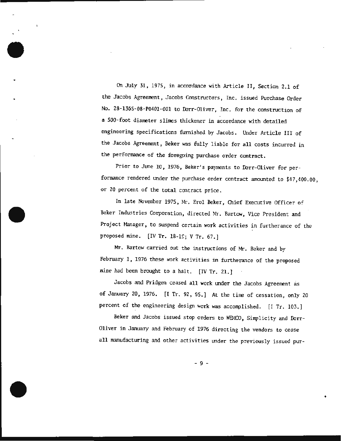on July 31, 1975, in accordance with Article II, Section 2.1 of the Jacobs Agreement, Jacobs Constructors, Inc. issued Purchase Order No. 28-1365-08-P0401-001 to Dorr-Oliver, Inc. for the construction of a 500-foot diameter slimes thickener in accordance with detailed engineering specifications furnished by Jacobs. Under Article III of the Jacobs Agreement , Beker was fully liable for all costs incurred in the performance of the foregoing purchase order contract.

Prior to June 10, 1976, Beker's payments to Dorr-Oliver for performance rendered under the purchase order contract amounted to \$47,400.00, or 20 percent of the total contract price.

In late November 1975, Mr. Erol Beker, Chief Executive Officer of Beker Industries Corporation, directed Mr. Bartow, Vice President and Project Manager, to suspend certain work activities in furtherance of the proposed mine. [IV Tr. 18-lS; V Tr. 67.]

Mr. Bartow carried out the instructions of Mr. Beker and by February 1, 1976 these work activities in furtherance of the proposed mine had been brought to a halt. [IV Tr. 21.]

Jacobs and Pridgen ceased all work under the Jacobs Agreement as of January 20, 1976. [I Tr. 92, 95.] At the time of cessation, only 20 percent of the engineering design work was accomplished. [I Tr. 103.]

Beker and Jacobs issued stop orders to WEMCO, Simplicity and Dorr-Oliver in January and February of 1976 directing the vendors to cease all manufacturing and other activities under the previously issued pur-

- 9 -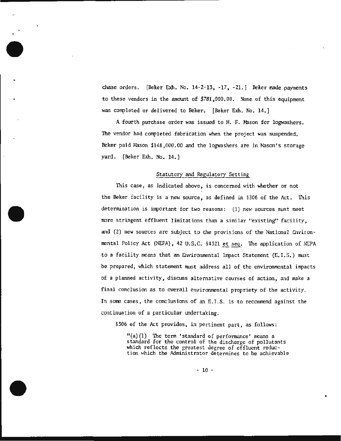chase orders. [Beker Exh. No. 14-2-13, -17, -21. ] Beker made payments to these vendors in the amount of \$781,000 .00. None of this equipment was completed or delivered to Beker. [Beker Exh. No. 14.]

A fourth purchase order was issued to H. F. Mason for logwashers. The vendor had completed fabrication when the project was suspended. Beker paid Mason \$148,000.00 and the logwashers are in Mason's storage yard. [Beker Exh. No. 14.)

## Statutory and Regulatory Setting

This case, as indicated above, is concerned with whether or not the Beker facility is a new source, as defined in §306 of the Act . This detennination is important for two reasons: (1) new sources must meet more stringent effluent limitations than a similar "existing" facility, and (2) new sources are subject to the provisions of the National Environmental Policy Act (NEPA), 42 U.S.C. §4321 et seq. The application of NEPA to a facility means that an Environmental Impact Statement  $(E, I, S)$  must be prepared, which statement must address all of the environmental impacts of a planned activity , discuss alternative courses of action, and make a final conclusion as to overall environmental propriety of the activity. In some cases, the conclusions of an E.I.S. is to recommend against the continuation of a particular undertaking.

§306 of the Act provides, in pertinent part, as follows:

" (a) (1) The term 'standard of performance' means a standard for the control of the discharge of pollutants which reflects the greatest degree of effluent reduction which the Administrator determines to be achievable

- 10 -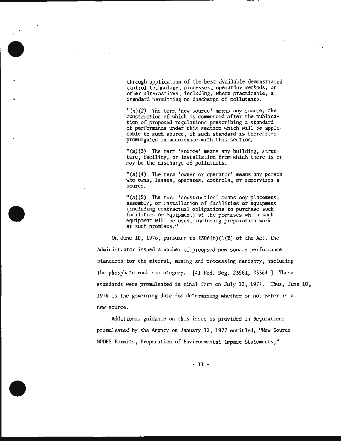through application of the best available demonstrated control technology, processes, operating methods, or other alternatives, including, where practicable, a standard permitting no discharge of pollutants.

 $''(a)(2)$  The term 'new source' means any source, the construction of which is commenced after the publication of proposed regulations prescribing a standard of performance under this section which will be applicable to such source, if such standard is thereafter pronulgated in accordance with this section,

 $"$ (a) (3) The term 'source' means any building, structure, facility, or installation from which there is or may be the discharge of pollutants.

 $"$ (a) (4) The term 'owner or operator' means any person who owns, leases, operates, controls, or supervises a source.

 $''(a)(5)$  The term 'construction' means any placement, assembly, or installation of facilities or equipment (including contractual obligations to purchase such facilities or equipment) at the premises which such equipment will be used, including preparation work at such premises."

On June 10, 1976, pursuant to  $$306(b)(1(B)$  of the Act, the Administrator issued a number of proopsed new source performance standards for the mineral, mining and processing category, including the phosphate rock subcategory. (41 Fed. Reg. 23\$61, 23564.) These standards were promulgated in final fonn on July 12, 1977. Thus, June 10, 1976 is the governing date for determining whether or not Beker is a new source.

Additional guidance on this issue is provided in Regulations promulgated by the Agency on January 11, 1977 entitled, "New Source NPDES ?ermits, Preparation of Environmental Impact Statements,"

- 11 -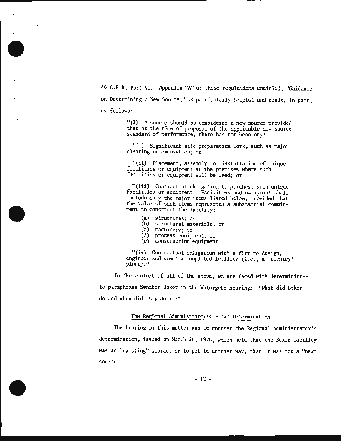40 C.F.R. Part VI. Appendix "A" of these regulations entitled, "Guidance on Determining a New Source ," is particularly helpful and reads, in part , as follows:

"(1) A source should be considered a new source provided that at the time of proposal of the applicable new source standard of performance , there has not been any:

 $"(i)$  Significant site preparation work, such as major clearing or excavation; or

*"(ii)* Placement, assembly, or installation of unique facilities or equipment at the premises where such facilities or equipment will be used; or

"(iii) Contractual obligation to purchase such unique facilities or equipment. Facilities and equipment shall include only the major items listed below, provided that the value of such items represents a substantial commitment to construct the facility:

- (a) structures; or
- (b) structural materials; or
- (c) machinery; or
- (d) process equipment; or
- (e) construction equipment.

"(iv) Contractual obligation with a firm to design, engineer and erect a completed facility (i.e., a 'turnkey' plant)."

In the context of all of the above , we are faced with determining- to paraphrase Senator Baker in the Watergate hearings--''What did Beker do and when did they do it?"

### The Regional Administrator's Final Detennination

The hearing on this matter was to contest the Regional Administrator's determination, issued on March 26, 1976, which held that the Beker facility was an "existing" source, or to put it another way, that it was not a "new" source.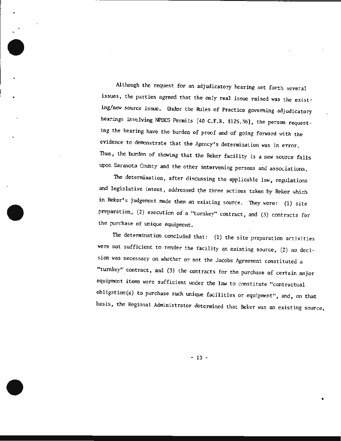Although the request for an adjudicatory hearing set forth several issues, the parties agreed that the only real issue raised was the existing/new source issue. Under the Rules of Practice governing adjudicatory hearings involving NPDES Permits [40 C.F.R. §125.36], the person requesting the hearing have the burden of proof and of going forward with the evidence to demonstrate that the Agency's determination was in error. Thus, the burden of showing that the Beker facility is a new source falls upon Sarasota County and the other intervening persons and associations.

The determination, after discussing the applicable law, regulations and legislative intent, addressed the three actions taken by Beker which in Beker's judgement made them an existing source. They were: (1) site preparation, (2) execution of a "turnkey" contract, and (3) contracts for the purchase of unique equipment.

The determination concluded that: (1) the site preparation activities were not sufficient to render the facility an existing source, (2) no decision was necessary on whether or not the Jacobs Agreement constituted a "turnkey" contract, and (3) the contracts for the. purchase of certain major equipment items were sufficient under the law to constitute "contractual obligation(s) to purchase such unique facilities or equipment", and, on that basis, the Regional Administrator determined that Beker was an existing source,

- 13 -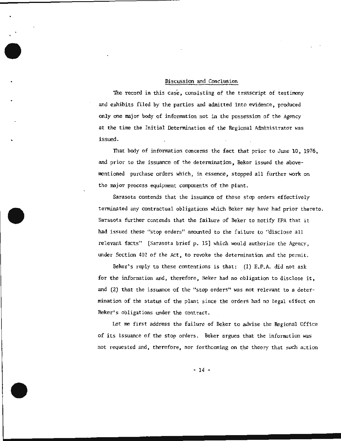## Discussion and Conclusion

The record in this case, consisting of the transcript of testimony and exhibits filed by the parties and admitted into evidence, produced only one major body of information not in the possession of the Agency at the time the Initial Determination of the Regional Administrator was issued.

That body of information concerns the fact that prior to June 10, 1976, and prior to the issuance of the determination, Beker issued the abovementioned purchase orders which, in essence, stopped all further work on the major process equipment components of the plant.

Sarasota contends that the issuance of these stop orders effectively terminated any contractual obligations which Beker may have had prior thereto. Sarasota further contends that the failure of Beker to notify EPA that it had issued these "stop orders" amounted to the failure to "disclose all relevant facts" (Sarasota brief p. 15] which would authorize the Agency , under Section 402 of the Act, to revoke the determination and the permit.

Beker's reply to these contentions is that:  $(1)$  E.P.A. did not ask for the information and, therefore, Beker had no obligation to disclose it, and (2) that the issuance of the "stop orders" was not relevant to a determination of the status of the plant since the orders had no legal effect on Beker's obligations under the contract.

Let me first address the failure of Beker to advise the Regional Office of its issuance of the stop orders. Beker argues that the information was not requested and, therefore, nor forthcoming on the theory that such action

- 14 -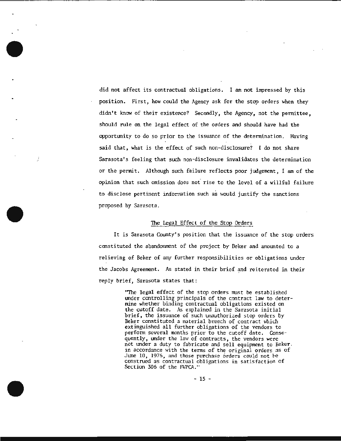did not affect its contractual obligations. I am not impressed by this position. First, how could the Agency ask for the stop orders when they didn't know of their existence? Secondly, the Agency, not the permittee, should rule on the legal effect of the orders and should have had the opportunity to do so prior to the issuance of the determination. Having said that, what is the effect of such non-disclosure? I do not share Sarasota's feeling that such non-disclosure invalidates the determination or the permit. Although such failure reflects poor judgement. I am of the opinion that such omission does not rise to the level of a willful failure to disclose pertinent infonnation such as would justify the sanctions proposed by Sarasota.

## The Legal Effect of the Stop Orders

It is Sarasota County's position that the issuance of the stop orders constituted the abandonment of the project by Beker and amounted to a relieving of Beker of any further responsibilities or obligations under the Jacobs Agreement. As stated in their brief and reiterated in their reply brief, Sarasota states that:

> 'The legal effect of the stop orders must be established under controlling principals of the contract law to determine whether binding contractual obligations existed on the cutoff date. As explained in the Sarasota initial brief, the issuance of such unauthorized stop orders by Beker constituted a material breech of contract which extinguished all further obligations of the vendors to perform several months prior to the cutoff date. Consequently, under the law of contracts, the vendors were not under a duty to fabricate and sell equipment to Beker. in accordance with the terms of the original orders as of June 10, 1976, and those purchase orders could not be construed as contractual obligations in satisfaction of Section 306 of the FWPCA."

> > - 15 -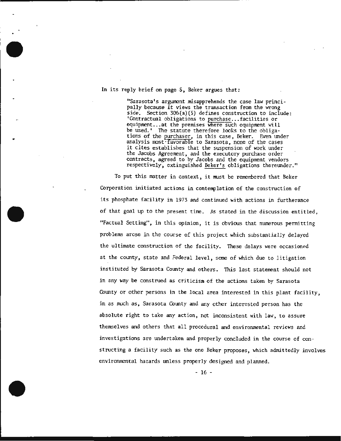#### In its reply brief on page 5, Beker argues that:

"Sarasota's argument misapprehends the case law principally because it views the transaction from the wrong side. Section 306(a)(S) defines construction to include: 'Contractual obligations to purchase... facilities or equipment...at the premises where such equipment will be used.' The statute therefore looks to the obligations of the purchaser, in this case, Beker. Even under analysis most·favorable to Sarasota, none of the cases it cites establishes that the suspension of work under the Jacobs Agreement, and the executory purchase order contracts, agreed to by Jacobs and the equipment vendors respectively, extinguished Beker's obligations thereunder."

To put this matter in context, it must be remembered that Beker Corporation initiated actions in contemplation of the construction of its phosphate facility in 1973 and continued with actions in furtherance of that goal up to the present time. As stated in the discussion entitled. "Factual Setting", in this opinion, it is obvious that numerous permitting problems arose in the course of this project which substantially delayed the ultimate construction of the facility. These delays were occasioned at the county, state and Federal level, some of which due to litigation instituted by Sarasota County and others. This last statement should not in any way be construed as criticism of the actions taken by Sarasota County or other persons in the local area interested in this plant facility, in as much as, Sarasota County and any other interested person has the absolute right to take any action, not inconsistent with law, to assure themselves and others that all procedural and environmental reviews and investigations are undertaken and properly concluded in the course of constructing a facility such as the one Beker proposes, which admittedly involves environmental hazards unless properly designed and planned.

- 16 -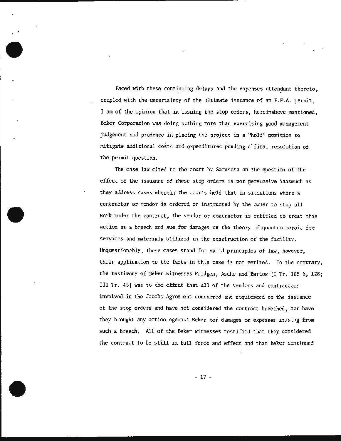Faced with these continuing delays and the expenses attendant thereto, coupled with the uncertainty of the ultimate issuance of an E.P.A. permit, I am of the opinion that in issuing the stop orders, hereinabove mentioned , Beker Corporat ion was doing nothing more than exercising good management judgement and prudence in placing the project in a "hold" position to mitigate additional costs and expenditures pending a· final resolution of the permit question.

The case law cited to the court by Sarasota on the question of the effect of the issuance of these stop orders is not persuasive inasmuch as they address cases wherein the courts held that in situations where a contractor or vendor is ordered or instructed by the owner to stop all work under the contract, the vendor or contractor is entitled to treat this action as a breech and sue for damages on the theory of quantum meruit for services and materials utilized in the construction of the facility. Unquestionably, these cases stand for valid principles of law, however, their application to the facts in this case is not merited. To the contrary, the testimony of Beker witnesses Pridgen, Asche and Bartow [I Tr. 105-6, 128; III Tr. 45] was to the effect that all of the vendors and contractors involved in the Jacobs Agreement concurred and acquiesced to the issuance of the stop orders and have not considered the contract breeched, nor have they brought any action against Beker for damages or expenses arising from such a breech. All of the Beker witnesses testified that they considered the contract to be still in full force and effect and that Beker continued

- 17 -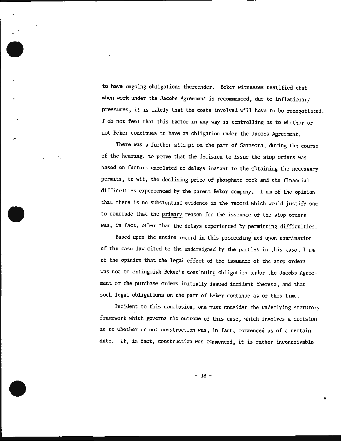to have ongoing obligations thereunder. Beker witnesses testified that when work under the Jacobs Agreement is recommenced, due to inflationary pressures, it is likely that the costs involved will have to be renegotiated. I do not feel that this factor in any way is controlling as to whether or not Beker continues to have an obligation under the Jacobs Agreement.

There was a further attempt on the part of Sarasota, during the course of the hearing. to prove that the decision to issue the stop orders was based on factors unrelated to delays instant to the obtaining the necessary permits, to wit, the declining price of phosphate rock and the financial difficulties experienced by the parent Beker company. I am of the opinion that there is no substantial evidence in the record which would justify one to conclude that the primary reason for the issuance of the stop orders was, in fact, other than the delays experienced by permitting difficulties.

Based upon the entire record in this proceeding and upon examination of the case law cited to the undersigned by the parties in this case , I am of the opinion that the legal effect of the issuance of the stop orders was not to extinguish Beker's continuing obligation under the Jacobs Agreement or the purchase orders initially issued incident thereto, and that such legal obligations on the part of Beker continue as of this time.

Incident to this conclusion, one must consider the underlying statutory framework which governs the outcome of this case , which involves a decision as to whether or not construction was, in fact , commenced as of a certain date. If, in fact, construction was commenced, it is rather inconceivable

- 18 -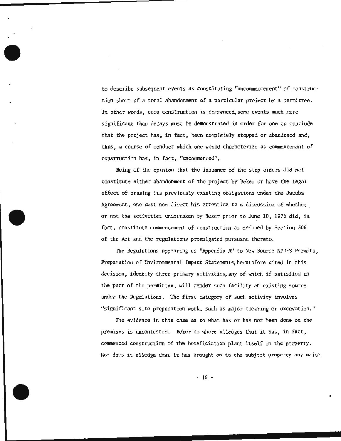to describe subsequent events as constituting "uncorranencement" of construction short of a total abandonment of a particular project by a permittee. In other words, once construction is commenced some events much more significant than delays must be demonstrated in order for one to conclude that the project has , in fact , been completely stopped or abandoned and, thus, a course of conduct which one would characterize as commencement of construction has, in fact, "uncommenced".

Being of the opinion that the issuance of the stop orders did not constitute either abandonment of the project by Beker or have the legal effect of erasing its previously existing obligations under the Jacobs Agreement, one must now direct his attention to a discussion of whether or not the activities undertaken by Bekcr prior to June 10, 1976 did, in fact, constitute commencement of construction as defined by Section 306 of the Act and the regulations promulgated pursuant thereto.

The Regulations appearing as "Appendix A" to New Source NPDES Permits, Preparation of Environmental Impact Statements, heretofore cited in this decision, identify three primary activities,any of which if satisfied on the part of the permittee , will render such facility an existing source under the Regulations. The first category of such activity involves "significant site preparation work, such as major clearing or excavation. "

The evidence in this case as to what has or has not been done on the premises is uncontested. Beker no where alledges that it has, in fact, commenced construction of the beneficiation plant itself on the property. Nor does it alledge that it has brought on to the subject property any major

- 19 -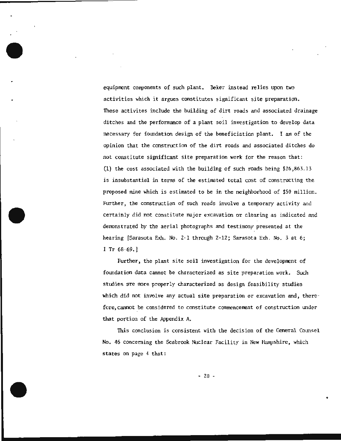equiprent components of such plant. Beker instead relies upon two activities which it argues constitutes significant site preparation. These activites include the building of dirt roads and associated drainage ditches and the performance of a plant soil investigation to develop data necessary for foundation design of the beneficiation plant. I am of the opinion that the construction of the dirt roads and associated ditches do not constitute significant site preparation work for the reason that: (1) the cost associated with the bui lding of such roads being \$26 ,863.13 is insubstantial *in* terms of the estimated total cost of constructing the proposed *mine* which is estimated to be in the neighborhood of \$50 million. Further, the construction of such roads involve a temporary activity and certainly did not constitute major excavation or clearing as indicated and demonstrated by the aerial photographs and testimony presented at the hearing [Sarasota Exh. No. 2-1 through 2-12; Sarasota Exh. No. 3 at 6; I Tr 68-69.]

Further, the plant site soil investigation for the development of foundation data cannot be characterized as site preparation work. Such studies are more properly characterized as design feasibility studies which did not involve any actual site preparation or excavation and, therefore, cannot be considered to constitute commencement of construction under that portion of the Appendix A.

This conclusion is consistent with the decision of the General Counsel No. 46 concerning the Seabrook Nuclear Facility in New Hampshire, which states on page 4 that:

 $-20$  -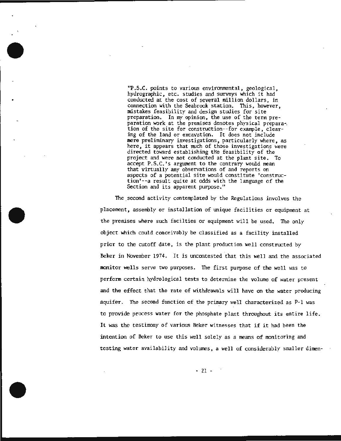·~.S.C . points to various environmental , geological, hydrographic, etc. studies and surveys which it had conducted at the cost of several million dollars, in connection with the Seabrook station. This, however, mistakes feasibility and design studies for site preparation. In my opinion, the use of the term pre-<br>paration work at the premises denotes physical preparation of the site for construction--for example, clearing of the land or excavation. It does not include mere preliminary investigations, particularly where, as here, it appears that much of those investigations were directed toward establishing the feasibility of the project and were not conducted at the plant site. To accept P.S.C.'s argument to the contrary would mean that virtually any observations of and reports on aspects of a potential site would constitute 'construction'--a result quite at odds with the language of the Section and its apparent purpose. "

The second activity contemplated by the Regulations involves the placement, assembly or installation of unique facilities or equipment at the premises where such facilties or equipment will be used. The only object which could conceivably be classified as a facility installed prior to the cutoff date, is the plant production well constructed by Beker in November 1974. It is uncontested that this well and the associated monitor wells serve two purposes. The first purpose of the well was to perform certain hydrological tests to determine the volume of water present and the effect that the rate of withdrawals will have on the water producing aquifer. The second function of the primary well characterized as P-1 was to provide process water for the phosphate plant throughout its entire life. It was the testimony of various Beker witnesses that if it had been the intention of Beker to use this well solely as a means of monitoring and testing water availability and volumes, a well of considerably smaller dimen-

- 21 -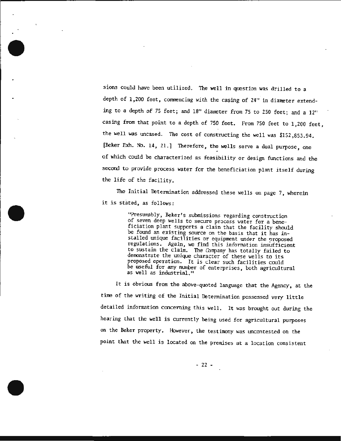sions could have been utilized. The well in question was drilled to a depth of 1,200 feet, commencing with the casing of 24" in diameter extending to a depth of 75 feet; and 18" diameter from 75 to 250 feet; and a 12" casing from that point to a depth of 750 feet. From 750 feet to 1, 200 feet, the well was uncased. The cost of constructing the well was \$152 ,853.94 . [Beker Exh. No. 14, 21.] Therefore, the wells serve a dual purpose, one of which could be characterized as feasibility or design functions and the second to provide process water for the beneficiation plant itself during the life of the facility.

The Initial Determination addressed these wells on page 7, wherein it is stated, as follows:

> "Presumably, Beker's submissions regarding construction of seven deep wells to secure process water for a beneficiation plant supports a claim that the facility should be found an existing source on the basis that it has installed unique facilities or equipment under the proposed regulations. Again, we find this information insufficient to sustain the claim. The Corrpany has totally failed to demonstrate the unique character of these wells to its proposed operation. It is clear such facilities could be useful for any number of enterprises, both agricultural as well as industrial."

It is obvious from the above-quoted language that the Agency, at the time of the writing of the Initial Determination possessed very little detailed information concerning this well. It was brought out during the hearing that the well is currently being used for agricultural purposes on the Beker property. However, the testimony was uncontested on the point that the well is located on the premises at a location consistent

- 22 -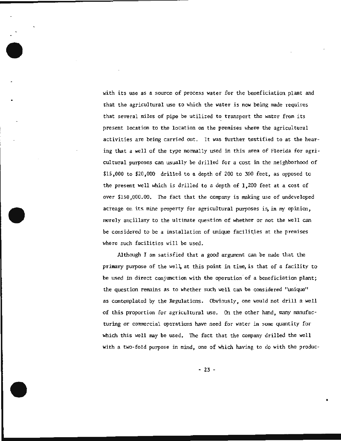with its use as a source of process water for the beneficiation plant and that the agricultural use to which the water is now being made requires that several miles of pipe be utilized to transport the water from its present location to the location on the premises where the agricultural activities are being carried out. It was further testified to at the hearing that a well of the type normally used in this area of Florida for agricultural purposes can usually be drilled for a cost in the neighborhood of \$15,000 to \$20,000 drilled to a depth of 200 to 300 feet, as opposed to the present well which is drilled to a depth of 1,200 feet at a cost of over \$150,000.00. The fact that the company is making use of undeveloped acreage on its mine property for agricultural purposes is, in my opinion, merely ancillary to the ultimate question of whether or not the well can be considered to be a installation of unique facilities at the premises where such facilities will be used.

Although I am satisfied that a good argument can be made that the primary purpose of the wel~ at this point in *time,* is that of a facility to be used in direct conjunction with the operation' of a beneficiation plant; the question remains as to whether such well can be considered "unique" as contemplated by the Regulations. Obviously, one would not drill a well of this proportion for agricultural use . On the other hand, many manufacturing or commercial operations have need for water in some quantity for which this well may be used. The fact that the company drilled the well with a two-fold purpose in mind, one of which having to do with the produc-

 $-23 -$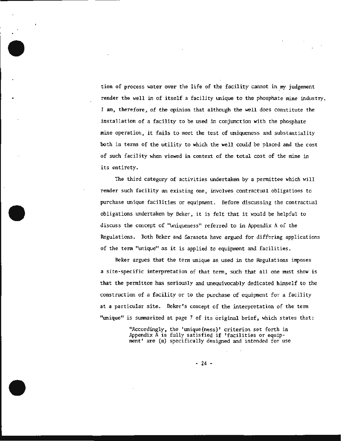tion of process water over the life of the facility cannot in my judgement render the well in of itself a facility unique to the phosphate mine industry. I am, therefore, of the opinion that although the well does constitute the installation of a facility to be used in conjunction with the phosphate mine operation, it fails to meet the test of uniqueness and substantiality both in terms of the utility to which the well could be placed and the cost of such facility when viewed in context of the total cost of the mine in its entirety.

The third category of activities undertaken by a permittee which will render such facility an existing one, inVolves contractual obligations to purchase unique facilities or equipment. Before discussing the contractual obligations undertaken by Beker, it is felt that it would be helpful to discuss the concept of '\miqueness" referred to in Appendix A of the Regulations. Both Beker and Sarasota have argued for differing applications of the term "unique" as it is applied to equipment and facilities.

Beker argues that the term unique as used in the Regulations imposes a site-specific interpretation of that term, such that all one must show is that the permittee has seriously and unequivocably dedicated himself to the construction of a facility or to the purchase of equipment for a facility at a particular site. Beker's concept of the interpretation of the term "unique" *is* Sturmarized at page 7 of its original brief, which states that:

> "Accordingly, the 'unique(ness)' criterion set forth in Appendix A is fully satisfied if 'facilities or equipment' are (a) specifically designed and intended for use

> > $-24$  -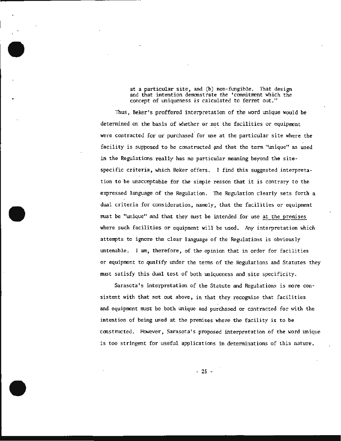at a particular site, and (b) non-fungible. That design and that intention demonstrate the ' commitment which the concept of uniqueness is calculated to ferret out."

Thus, Beker's proffered interpretation of the word unique would be determined on the basis of whether or not the facilities or equipment were contracted for or purchased.for use at the particular site where the facility is supposed to be constructed and that the term "unique" as used in the Regulations really has no particular meaning beyond the sitespecific criteria, which Beker offers. I find this suggested interpretation to be unacceptable for the simple reason that it is contrary to the expressed language of the Regulation. The Regulation clearly sets forth a dual criteria for consideration, namely, that the facilities or equipment must be "unique" and that they must be intended for use at the premises where such facilities or equipment will be used. Any interpretation which attempts to ignore the clear language of the Regulations is obviously untenable . I am, therefore, of the opinion that in order for facilities or equipment to qualify under the terms of the Regulations and Statutes they must satisfy this dual test of both uniqueness and site specificity.

Sarasota's interpretation of the Statute and Regul ations is more consistent with that set out above, in that they recognize that facilities and equipment must be both unique and purchased or contracted for with the intention of being used at the premises wnere the facility is to be constructed. However, Sarasota's proposed interpretation of the word unique is too stringent for useful applications in determinations of this nature.

- 25 -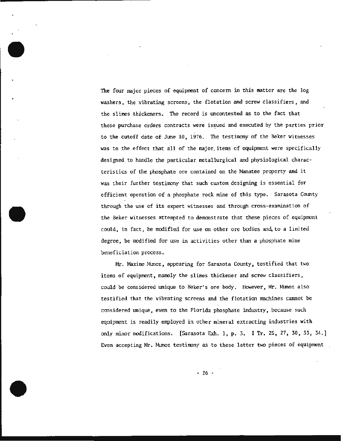The four major pieces of equipment of concern in this matter are the log washers, the vibrating screens, the flotation and screw classifiers, and the slimes thickeners. The record is uncontested as to the fact that these purchase orders contracts were issued and executed by the parties prior to the cutoff date of June 10 , 1976. The testimony of the Beker witnesses was to the effect that all of the major.items of equipment were specifically designed to handle the particular metallurgical and physiological characteristics of the phosphate ore contained on the Manatee property and it was their further testimony that such custom designing is essential for efficient operation of a phosphate rock mine of this type. Sarasota County through the use of its expert witnesses and through cross-examination of the Beker witnesses attempted to demonstrate that these pieces of equipment could, in fact, be modified for use on other ore bodies and, to a limited degree, be modified for use in activities other than a phosphate mine beneficiation process.

Mr. Maximo Munoz, appearing for Sarasota County, testified that two items of equipment, namely the slimes thickener and screw classifiers, could be considered unique to Beker's ore body. However, Mr. Mimoz also testified that the vibrating screens and the flotation machines cannot be considered unique, even to the Florida phosphate industry, because such equipment is readily employed in other mineral extracting industries with only minor modifications. [Sarasota Exh. 1, p. 3. I Tr. 25, 27, 30, 33, 34.] Even accepting Mr. Munoz testimony as to these latter two pieces of equipment

 $-26 -$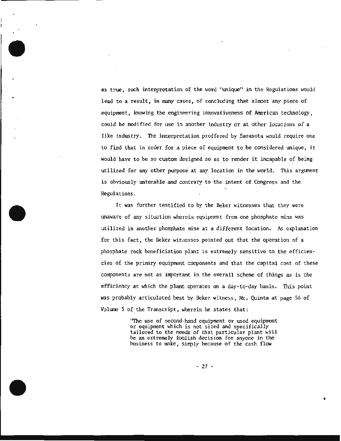as true, such interpretation of the word "unique" in the Regulations would lead to a result, in many cases, of concluding that almost any piece of equipment, knowing the engineering innovativeness of American technology, could be modified for use in another industry or at other locations of a like industry. The interpretation proffered by Sarasota would require one to find that in order for a piece of equipment to be considered unique, it would have to be so custom designed so as to render it incapable of being utilized for any other purpose at any location in the world. This argument is obviously untenable and contrary to the intent of Congress and the Regulations.

It was further testified to by the Beker witnesses that they were 1.maware of any situation wherein equipment from one phosphate mine was utilized in another phosphate mine at a different location. As explanation for this fact, the Beker withesses pointed out that the operation of a phosphate rock beneficiation plant is extremely sensitive to the efficiencies of the primary equipment components and that the capital cost of these components are not as important in the overall scheme of things as is the efficiency at which the plant operates on a day-to-day basis. This point was probably articulated best by Beker witness, Mr. Quinta at page 56 of Volume 5 of the Transcript, wherein he states that:

> 'The use of second-hand equipment or used equipment<br>or equipment which is not sized and specifically tailored to the needs of that particular plant will be an extremely foolish decision for anyone in the business to make, simply because of the cash flow

> > - 27 -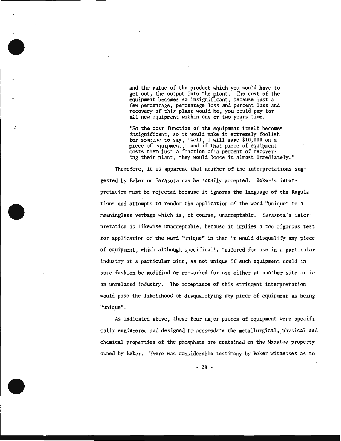and the value of the product which you would have to get out, the output into the plant. The cost of the equipment becomes so insignificant, because just a few percentage, percentage loss and percent loss and recovery of this plant would be, you could pay for all new equipment within one or two years time.

"So the cost function of the equipment itself becomes insignificant, so it would make it extremely foolish for someone to say, 'Well, I will save \$10,000 on a piece of equipment,' and if that piece of equipment costs them just a fraction of·a percent of recovering their plant, they would loose it almost imnediately."

Therefore, it is apparent that neither of the interpretations suggested by Beker or Sarasota can be totally accepted. Beker's interpretation must be rejected because it ignores the language of the Regulations and attempts to render the application of the word "unique" to a meaningless verbage which is, of course, unacceptable. Sarasota's interpretation is likewise unacceptable, because it implies a too rigorous test for application of the word 'unique" in that it would disqualify any piece of equipment, which although speci fically tailored for use in a particular industry at a particular site, as not unique if such equipment could in some fashion be modified or re-worked for use either at another site or in an tmrelated industry. The acceptance of this stringent interpretation would pose the likelihood of disqualifying any piece of equipment as being "tmique".

As indicated above, these four major pieces of equipment were specifically engineered and designed to accomodate the metallurgical, physical and chemical properties of the phosphate ore contained on the Manatee property owned by Beker. There was considerable testimony by Beker witnesses as to

- *28* -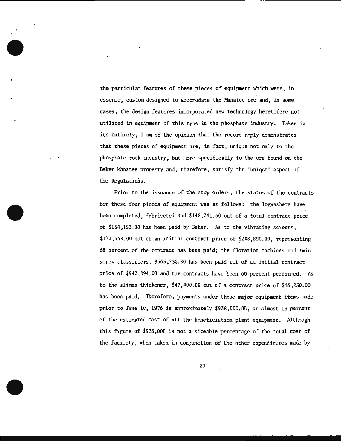the particular features of these pieces of equipment which were, in essence, custom-designed to accomodate the Manatee ore and, in some cases, the design features incorporated new technology heretofore not utilized in equipment of this type in the phosphate industry. Taken in its entirety, I am of the opinion that the record amply demonstrates that these pieces of equipment are, in fact, unique not only to the phosphate rock industry, but more specifically to the ore found on the Beker Manatee property and, therefore, satisfy the "unique" aspect of the Regulations.

·.

Prior to the issuance of the stop orders, the status of the contracts for these four pieces of equipment was as follows: the logwashers have been completed, fabricated and \$148,241.60 out of a total contract price of \$154,152.00 has been paid by Beker. As to the vibrating screens, \$170,568.00 out of an initial contract price of \$248,890.00, representing 68 percent of the contract has been paid; the flotation machines and twin screw classifiers, \$565,736.80 has been paid out of an initial contract price of \$942,894.00 and the contracts have been 60 percent performed. As to the slimes thickener, \$47,400.00 out of a contract price of \$46,250.00 has been paid. Therefore, payments under these major equipment items made prior to June  $10$ , 1976 is approximately  $$938,000.00$ , or almost 13 percent of the estimated cost of all the beneficiation plant equipment. Although this figure of \$938,000 is not a sizeable percentage of the total cost of the facility, when taken in conjunction of the other expenditures made by

- 29 -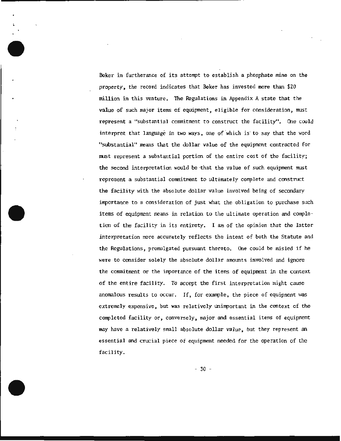Beker in furtherance of its attempt to establish a phosphate mine on the property, the record indicates that Beker has invested more than \$20 million in this venture. The Regulations in Appendix A state that the value of such major items of equipment, eligible for consideration, must represent a "substantial conmitment to construct the facility". One could interpret that language in two ways, one of which is to say that the word "substantial" means that the dollar value of the equipment contracted for must represent a substantial portion of the entire cost of the facility; the second interpretation would be ·that the value of such equipment must represent a substantial commitment to ultimately complete and construct the facility with the absolute dollar value involved being of secondary importance to a consideration of just what the obligation to purchase such items of equipment means in relation to the ultimate operation and completion of the facility in its entirety. I am of the opinion that the latter interpretation rore accurately reflects the intent of both the Statute and the Regulations, promulgated pursuant thereto. One could be misled if he were to consider solely the absolute dollar amounts involved and ignore the commitment or the importance of the items of equipment in the context of the entire facility. To accept the first interpretation might cause anomalous results to occur. If, for example, the piece of equipment was extremely expensive, but was relatively Unimportant in the context of the completed facility or, conversely, major and essential items of equipment may have a relatively small absolute dollar value, but they represent an essential and crucial piece of equipment needed for the operation of the facility.

- 30 -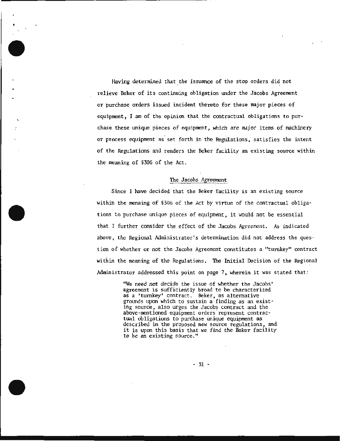Having determined that the issuance of the stop orders did not relieve Beker of its continuing obligation under the Jacobs Agreement or purchase orders issued incident thereto for these major pieces of equipment, I am of the opinion that the contractual obligations to purchase these unique pieces of equipment, which are major items of machinery or process equipment as set forth in the Fegulations; satisfies the intent of the Regulations and renders the Beker facility an existing source within the meaning of §306 of the Act .

#### The Jacobs Agreement

Since I have decided that the Beker facility is an existing source within the menaing of §306 of the Act by virtue of the contractual obligations to purchase unique pieces of equipment, it would not be essential that I further consider the effect of the Jacobs Agreement. As indicated above, the Regional Administrator's determination did not address the question of whether or not the Jacobs Agreement constitutes a "turnkey" contract within the meaning of the Regulations. The Initial Decision of the Regional Administrator addressed this point on page 7, wherein it was stated that:

> 'We need not decide the issue of whether the Jacobs' agreement is sufficiently broad to be characterized as a 'turnkey' contract. Beker, as alternative grounds upon which to sustain a finding as an existing source, also urges the Jacobs contract and the above-mentioned equipment orders represent contractual obligations to purchase unique equipment as described in the proposed new source regulations, and it is upon this basis that we find the Beker facility to be an existing source."

> > - 31 -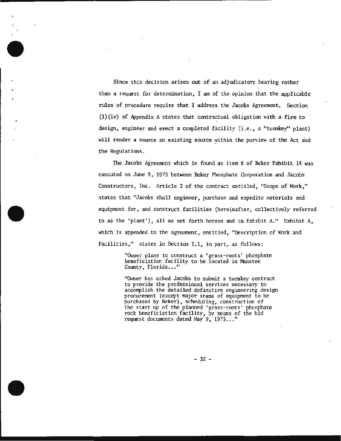Since this decision arises out of an adjudicatory hearing rather than a request for detennination, I am of the opinion that the applicable rules of procedure require that I address the Jacobs Agreement. Section (l)(iv) of Appendix A states that contractual obligation with a firm to design, engineer and erect a completed facility (i.e., a "turnkey" plant) will render a source an existing source within the purview of the Act and the Regulations.

İ

The Jacobs Agreement which is found as item 6 of Beker Exhibit 14 was executed on June 9, 1975 between Beker Phosphate Corporation and Jacobs Constructors, Inc. Article 2 of the contract entitled, "Scope of Work," states that "Jacobs shall engineer, purchase and expedite materials and equipment for, and construct facilities (hereinafter, collectively referred to as the 'plant'), all as set forth herein and in Exhibit A." Exhibit A, which is appended to the agreement, entitled, "Description of Work and Facilities," states in Section 1.1, in part, as follows:

> "Owner plans to construct a 'grass-roots' phosphate beneficiation facility to be located in Manatee County, Florida..."

"Owner has asked Jacobs to submit a turnkey contract to provide the professional services necessary to accomplish the detailed definitive engineering design procurement (except major items of equipment to be purchased by Beker), scheduling, construction of<br>the start up of the planned 'grass-roots' phosphate rock beneficiation facility, by means of the bid request documents dated May 9, 1975..."

- 32 -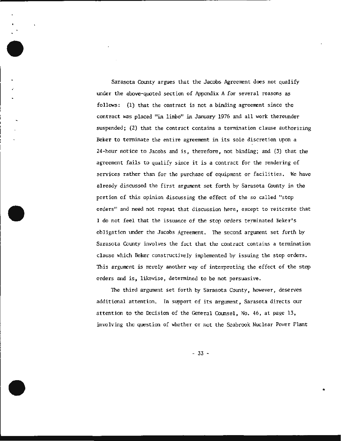Sarasota County argues that the Jacobs Agreement does not qualify under the above-quoted section of Appendix A for several reasons as follows : (1) that the contract is not a binding agreement since the contract was placed "in limbo" in January 1976 and all work thereunder suspended; (2) that the contract contains a termination clause authorizing Beker to tenninate the entire agreenent in its sole discretion upon a 24-hour notice to Jacobs and is, therefore, not binding; and (3) that the agreement fails to qualify since it is a contract for the rendering of services rather than for the purchase of equipment or facilities. We have already discussed the first argument set forth by Sarasota County in the portion of this opinion discussing the effect of the so called "stop orders" and need not repeat that discussion here, except to reiterate that I do not feel that the issuance of the stop orders terminated Beker's obligation under the Jacobs Agreement . The second argument set forth by Sarasota County involves the fact that the contract contains a termination clause which Beker constructively implemented by issuing the stop orders. This argument is merely another way of interpreting the effect of the stop orders and is, likewise, determined to be not persuasive.

The third argument set forth by Sarasota County, however, deserves additional attention. In support of its argument, Sarasota directs our attention to the Decision of the General Counsel, No. 46, at page 13, involving the question of whether or not the Seabrook Nuclear Power Plant

- 33 -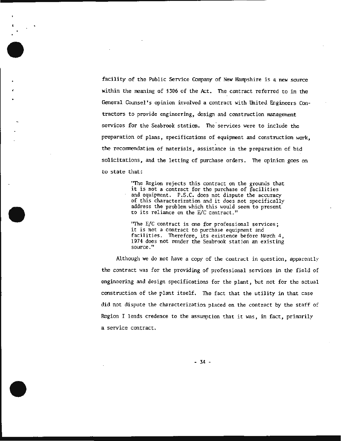facility of the Public Service Company of New Hampshire is a new source within the meaning of §306 of the Act. The contract referred to in the General Counsel 's opinion involved a contract with United Engineers Contractors to provide engineering, design and construction management services for the Seabrook station. The 'services were to include the preparation of plans, specifications of equipment and construction work, the recommendation of materials, assistance in the preparation of bid solicitations, and the letting of purchase orders. The opinion goes on to state that·:

, .

"The Region rejects this contract on the grounds that it is not a contract for the purchase of facilities<br>and equipment. P.S.C. does not dispute the accuracy of this characterization and it does not specifically address the problem which this would seem to present to its reliance on the E/C contract."

'The E/C contract is one for professional services; it is not a contract to purchase equipment and facilities. Therefore, its existence before March 4, 1974 does not render the Seabrook station an existing source."

Although we do not have a copy of the contract in question, apparently the contract was for the providing of professional services in the field of engineering and design specifications for the plant, but not for the actual construction of the plant itself. The fact that the utility in that case did not dispute the characterization placed on the contract by the staff of Region I lends credence to the assumption that it was, in fact, primarily a service contract.

- 34 -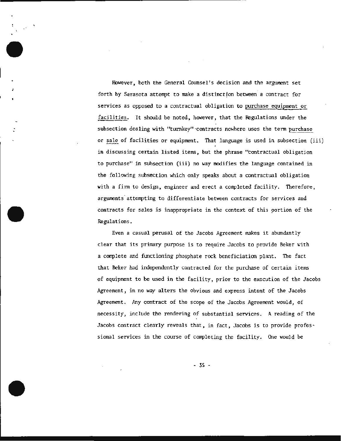However, both the General Counsel's decision and the argument set forth by Sarasota attempt to make a distinction between a contract for services as opposed to a contractual obligation to purchase equipment or facilities. It should be noted, however, that the Regulations under the subsection dealing with "turnkey" ·contracts nowhere uses the tenn purchase or sale of facilities or equipment. That language is used in subsection (iii) in discussing certain listed i terns, but the phrase "contractual obligation to purchase" in subsection (iii) no way modifies the language. contained in the following subsection which only speaks about a contractual obligation with a firm to design, engineer and erect a completed facility. Therefore, arguments attempting to differentiate between contracts for services and contracts for sales is inappropriate in the context of this portion of the Regulations.

•'

Even a casual perusal of the Jacobs Agreement makes it abundantly clear that its primary purpose is to require Jacobs to provide Beker with a complete and functioning phosphate rock beneficiation plant. The fact that Beker had independently contracted for the purchase of certain items of equiprrent to be used in the facility , prior to the execution of the Jacobs Agreement , in no way alters the obvious and express intent of the Jacobs Agreement. Any contract of the scope of the Jacobs Agreement would, of necessity, include the rendering of substantial services. A reading of the Jacobs contract clearly reveals that, in fact, Jacobs is to provide professional services in the course of completing the facility. One would be

- 35 -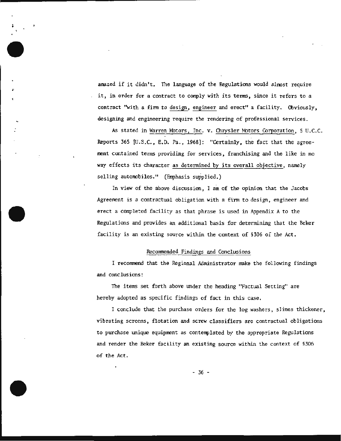amazed if it didn't. The language of the Regulations would almost require it, in order for a contract to comply with its terms, since it refers to a contract ''with a firm to design, engineer and erect" a facility. Obviously, designing and engineering require the rendering of professional services.

As stated in Warren Motors, Inc. v. Chrysler Motors Corporation, 5 U.C.C. Reports 365 [U.S.C., E.D. Pa., 1968]: "Certainly, the fact that the agreement contained terms providing for services, franchising and the like in no way effects its character as determined by its overall objective, namely selling automobiles." (Emphasis supplied.)

In view of the above discussion, I am of the opinion that the Jacobs Agreement is a contractual obligation with a firm to design, engineer and erect a completed facility as that phrase is used in Appendix A to the Regulations and provides an additional basis for determining that the Beker facility is an existing source within the context of §306 of the Act .

## Recommended Findings and Conclusions

I recommend that the Regional Administrator make the following findings and conclusions:

The items set forth above tmder the heading "Factual Setting" are hereby adopted as specific findings of fact in this case.

I conclude that the purchase orders for the log washers, slimes thickener, vibrating screens, flotation and screw classifiers are contractual obligations to purchase unique equipment as contemplated by the appropriate Regulations and render the Beker facility an existing source within the context of §306 of the Act.

 $-36 -$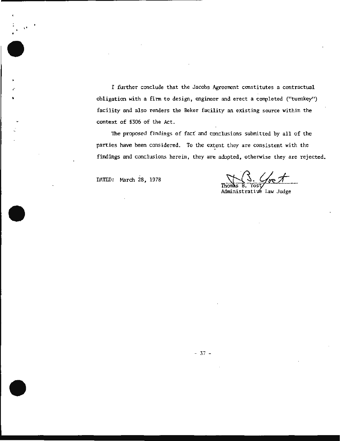I further conclude that the Jacobs Agreement constitutes a contractual obligation with a firm to design, engineer and erect a completed ("turnkey") facility and also renders the Beker facility an existing source within the context of \$306 of the Act.

The proposed findings of fact and conclusions submitted by all of the parties have been considered. To the extent they are consistent with the findings and conclusions herein, they are adopted, otherwise they are rejected.

DATED: March 28 , 1978

 $\cdot$  .

.- ..

Thomas B. Yost<br>Administrative Law Judge

- 37 -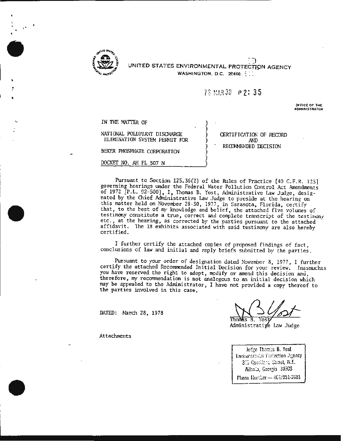

,.

.. :

<sup>~</sup>:-) UNITED STATES ENVIRONMENTAL PROTECTION AGENCY WASHINGTON, D.C.  $20460.$ 

> ) ) ) ) ) ) )

# 78 MAR 30 P 2: 35

\_,FFICE OF THE ADMINISTRATOR

IN THE MATTER OF

## NATIONAL POLLUTANT DISCHARGE ELIMINATION SYSTEM PERMIT FOR

BEKER PHOSPHATE CORPORATION

DOCKET NO. AH FL 507 N

CERTIFICATION OF RECORD AND RECOMMENDED DECISION

Pursuant to Section 125.36(2) of the Rules of Practice [40 C.F.R. 125] governing hearings under the Federal Water Pollution Control Act Amendments of 1972 [P.L. 92-500], I, Thomas B. Yost, Administrative Law Judge, designated by the Chief Administrative Law Judge to preside at the hearing on this matter held on November 28-30, 1977 , in Sarasota, Florida, certify that, to the best of my knowledge and belief, the attached five volumes of testimony constitute a true, correct and complete transcript of the testimony etc., at the hearing, as corrected by the parties pursuant to the attached affidavit. The 18 exhibits associated with said testimony are also hereby certified.

I further certify the attached copies of proposed findings of fact, conclusions of law and initial and reply briefs submitted by the parties.

Pursuant to your order of designation dated November 8, 1977, I further certify the attached Recommended Initial Decision for your review. Inasmuchas you have reserved the right to adopt, modify or amend this decision and, therefore, my recommendation is not analogous to an initial decision which may be appealed to the Administrator, I have not provided a copy thereof to the parties involved in this case.

DATED: March 28, 1978

Y∩ৰা

Administratiye Law Judge

Judge Thomas B. Yost Environtational Fratection Agency 315 Courthorn Street, N.E. Ailania, Georgia 30303 Flione Rumber - 401/231-2681

Attachments